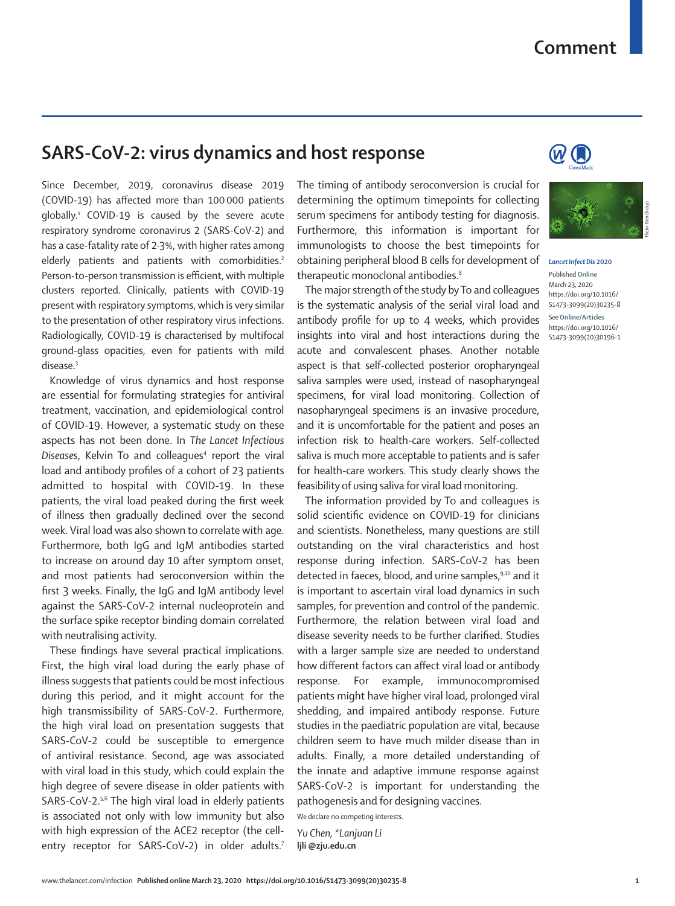## **Comment**

## **SARS-CoV-2: virus dynamics and host response**

Since December, 2019, coronavirus disease 2019 (COVID-19) has affected more than 100000 patients globally.1 COVID-19 is caused by the severe acute respiratory syndrome coronavirus 2 (SARS-CoV-2) and has a case-fatality rate of 2·3%, with higher rates among elderly patients and patients with comorbidities.<sup>2</sup> Person-to-person transmission is efficient, with multiple clusters reported. Clinically, patients with COVID-19 present with respiratory symptoms, which is very similar to the presentation of other respiratory virus infections. Radiologically, COVID-19 is characterised by multifocal ground-glass opacities, even for patients with mild disease.3

Knowledge of virus dynamics and host response are essential for formulating strategies for antiviral treatment, vaccination, and epidemiological control of COVID-19. However, a systematic study on these aspects has not been done. In *The Lancet Infectious*  Diseases, Kelvin To and colleagues<sup>4</sup> report the viral load and antibody profiles of a cohort of 23 patients admitted to hospital with COVID-19. In these patients, the viral load peaked during the first week of illness then gradually declined over the second week. Viral load was also shown to correlate with age. Furthermore, both IgG and IgM antibodies started to increase on around day 10 after symptom onset, and most patients had seroconversion within the first 3 weeks. Finally, the IgG and IgM antibody level against the SARS-CoV-2 internal nucleoprotein and the surface spike receptor binding domain correlated with neutralising activity.

These findings have several practical implications. First, the high viral load during the early phase of illness suggests that patients could be most infectious during this period, and it might account for the high transmissibility of SARS-CoV-2. Furthermore, the high viral load on presentation suggests that SARS-CoV-2 could be susceptible to emergence of antiviral resistance. Second, age was associated with viral load in this study, which could explain the high degree of severe disease in older patients with SARS-CoV-2.<sup>5,6</sup> The high viral load in elderly patients is associated not only with low immunity but also with high expression of the ACE2 receptor (the cellentry receptor for SARS-CoV-2) in older adults.<sup>7</sup> The timing of antibody seroconversion is crucial for determining the optimum timepoints for collecting serum specimens for antibody testing for diagnosis. Furthermore, this information is important for immunologists to choose the best timepoints for obtaining peripheral blood B cells for development of *Lancet Infect Dis* **2020** therapeutic monoclonal antibodies.<sup>8</sup>

The major strength of the study by To and colleagues is the systematic analysis of the serial viral load and antibody profile for up to 4 weeks, which provides insights into viral and host interactions during the acute and convalescent phases. Another notable aspect is that self-collected posterior oropharyngeal saliva samples were used, instead of nasopharyngeal specimens, for viral load monitoring. Collection of nasopharyngeal specimens is an invasive procedure, and it is uncomfortable for the patient and poses an infection risk to health-care workers. Self-collected saliva is much more acceptable to patients and is safer for health-care workers. This study clearly shows the feasibility of using saliva for viral load monitoring.

The information provided by To and colleagues is solid scientific evidence on COVID-19 for clinicians and scientists. Nonetheless, many questions are still outstanding on the viral characteristics and host response during infection. SARS-CoV-2 has been detected in faeces, blood, and urine samples, 9,10 and it is important to ascertain viral load dynamics in such samples, for prevention and control of the pandemic. Furthermore, the relation between viral load and disease severity needs to be further clarified. Studies with a larger sample size are needed to understand how different factors can affect viral load or antibody response. For example, immunocompromised patients might have higher viral load, prolonged viral shedding, and impaired antibody response. Future studies in the paediatric population are vital, because children seem to have much milder disease than in adults. Finally, a more detailed understanding of the innate and adaptive immune response against SARS-CoV-2 is important for understanding the pathogenesis and for designing vaccines.

We declare no competing interests. *Yu Chen, \*Lanjuan Li* **ljli @zju.edu.cn**





Published **Online** March 23, 2020 https://doi.org/10.1016/ S1473-3099(20)30235-8

See**Online/Articles** https://doi.org/10.1016/ S1473-3099(20)30196-1